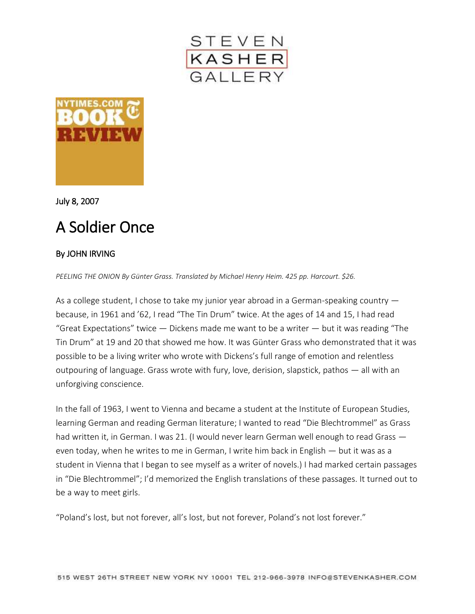



July 8, 2007

## A Soldier Once

## By JOHN IRVING

*PEELING THE ONION By Günter Grass. Translated by Michael Henry Heim. 425 pp. Harcourt. \$26.*

As a college student, I chose to take my junior year abroad in a German-speaking country because, in 1961 and '62, I read "The Tin Drum" twice. At the ages of 14 and 15, I had read "Great Expectations" twice  $-$  Dickens made me want to be a writer  $-$  but it was reading "The Tin Drum" at 19 and 20 that showed me how. It was Günter Grass who demonstrated that it was possible to be a living writer who wrote with Dickens's full range of emotion and relentless outpouring of language. Grass wrote with fury, love, derision, slapstick, pathos — all with an unforgiving conscience.

In the fall of 1963, I went to Vienna and became a student at the Institute of European Studies, learning German and reading German literature; I wanted to read "Die Blechtrommel" as Grass had written it, in German. I was 21. (I would never learn German well enough to read Grass  $$ even today, when he writes to me in German, I write him back in English — but it was as a student in Vienna that I began to see myself as a writer of novels.) I had marked certain passages in "Die Blechtrommel"; I'd memorized the English translations of these passages. It turned out to be a way to meet girls.

"Poland's lost, but not forever, all's lost, but not forever, Poland's not lost forever."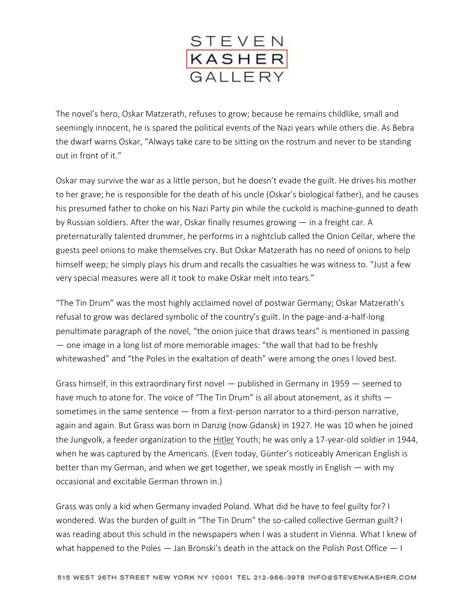

The novel's hero, Oskar Matzerath, refuses to grow; because he remains childlike, small and seemingly innocent, he is spared the political events of the Nazi years while others die. As Bebra the dwarf warns Oskar, "Always take care to be sitting on the rostrum and never to be standing out in front of it."

Oskar may survive the war as a little person, but he doesn't evade the guilt. He drives his mother to her grave; he is responsible for the death of his uncle (Oskar's biological father), and he causes his presumed father to choke on his Nazi Party pin while the cuckold is machine-gunned to death by Russian soldiers. After the war, Oskar finally resumes growing — in a freight car. A preternaturally talented drummer, he performs in a nightclub called the Onion Cellar, where the guests peel onions to make themselves cry. But Oskar Matzerath has no need of onions to help himself weep; he simply plays his drum and recalls the casualties he was witness to. "Just a few very special measures were all it took to make Oskar melt into tears."

"The Tin Drum" was the most highly acclaimed novel of postwar Germany; Oskar Matzerath's refusal to grow was declared symbolic of the country's guilt. In the page-and-a-half-long penultimate paragraph of the novel, "the onion juice that draws tears" is mentioned in passing — one image in a long list of more memorable images: "the wall that had to be freshly whitewashed" and "the Poles in the exaltation of death" were among the ones I loved best.

Grass himself, in this extraordinary first novel — published in Germany in 1959 — seemed to have much to atone for. The voice of "The Tin Drum" is all about atonement, as it shifts sometimes in the same sentence — from a first-person narrator to a third-person narrative, again and again. But Grass was born in Danzig (now Gdansk) in 1927. He was 10 when he joined the Jungvolk, a feeder organization to the [Hitler](http://topics.nytimes.com/top/reference/timestopics/people/h/adolf_hitler/index.html?inline=nyt-per) Youth; he was only a 17-year-old soldier in 1944, when he was captured by the Americans. (Even today, Günter's noticeably American English is better than my German, and when we get together, we speak mostly in English — with my occasional and excitable German thrown in.)

Grass was only a kid when Germany invaded Poland. What did he have to feel guilty for? I wondered. Was the burden of guilt in "The Tin Drum" the so-called collective German guilt? I was reading about this schuld in the newspapers when I was a student in Vienna. What I knew of what happened to the Poles  $-$  Jan Bronski's death in the attack on the Polish Post Office  $-1$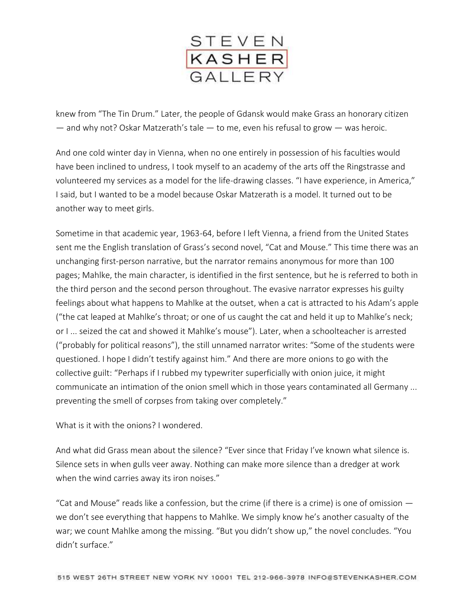

knew from "The Tin Drum." Later, the people of Gdansk would make Grass an honorary citizen  $-$  and why not? Oskar Matzerath's tale  $-$  to me, even his refusal to grow  $-$  was heroic.

And one cold winter day in Vienna, when no one entirely in possession of his faculties would have been inclined to undress, I took myself to an academy of the arts off the Ringstrasse and volunteered my services as a model for the life-drawing classes. "I have experience, in America," I said, but I wanted to be a model because Oskar Matzerath is a model. It turned out to be another way to meet girls.

Sometime in that academic year, 1963-64, before I left Vienna, a friend from the United States sent me the English translation of Grass's second novel, "Cat and Mouse." This time there was an unchanging first-person narrative, but the narrator remains anonymous for more than 100 pages; Mahlke, the main character, is identified in the first sentence, but he is referred to both in the third person and the second person throughout. The evasive narrator expresses his guilty feelings about what happens to Mahlke at the outset, when a cat is attracted to his Adam's apple ("the cat leaped at Mahlke's throat; or one of us caught the cat and held it up to Mahlke's neck; or I ... seized the cat and showed it Mahlke's mouse"). Later, when a schoolteacher is arrested ("probably for political reasons"), the still unnamed narrator writes: "Some of the students were questioned. I hope I didn't testify against him." And there are more onions to go with the collective guilt: "Perhaps if I rubbed my typewriter superficially with onion juice, it might communicate an intimation of the onion smell which in those years contaminated all Germany ... preventing the smell of corpses from taking over completely."

What is it with the onions? I wondered.

And what did Grass mean about the silence? "Ever since that Friday I've known what silence is. Silence sets in when gulls veer away. Nothing can make more silence than a dredger at work when the wind carries away its iron noises."

"Cat and Mouse" reads like a confession, but the crime (if there is a crime) is one of omission we don't see everything that happens to Mahlke. We simply know he's another casualty of the war; we count Mahlke among the missing. "But you didn't show up," the novel concludes. "You didn't surface."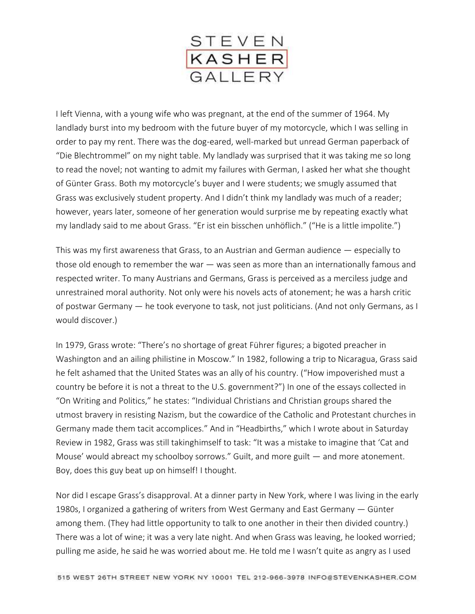

I left Vienna, with a young wife who was pregnant, at the end of the summer of 1964. My landlady burst into my bedroom with the future buyer of my motorcycle, which I was selling in order to pay my rent. There was the dog-eared, well-marked but unread German paperback of "Die Blechtrommel" on my night table. My landlady was surprised that it was taking me so long to read the novel; not wanting to admit my failures with German, I asked her what she thought of Günter Grass. Both my motorcycle's buyer and I were students; we smugly assumed that Grass was exclusively student property. And I didn't think my landlady was much of a reader; however, years later, someone of her generation would surprise me by repeating exactly what my landlady said to me about Grass. "Er ist ein bisschen unhöflich." ("He is a little impolite.")

This was my first awareness that Grass, to an Austrian and German audience — especially to those old enough to remember the war — was seen as more than an internationally famous and respected writer. To many Austrians and Germans, Grass is perceived as a merciless judge and unrestrained moral authority. Not only were his novels acts of atonement; he was a harsh critic of postwar Germany — he took everyone to task, not just politicians. (And not only Germans, as I would discover.)

In 1979, Grass wrote: "There's no shortage of great Führer figures; a bigoted preacher in Washington and an ailing philistine in Moscow." In 1982, following a trip to Nicaragua, Grass said he felt ashamed that the United States was an ally of his country. ("How impoverished must a country be before it is not a threat to the U.S. government?") In one of the essays collected in "On Writing and Politics," he states: "Individual Christians and Christian groups shared the utmost bravery in resisting Nazism, but the cowardice of the Catholic and Protestant churches in Germany made them tacit accomplices." And in "Headbirths," which I wrote about in Saturday Review in 1982, Grass was still takinghimself to task: "It was a mistake to imagine that 'Cat and Mouse' would abreact my schoolboy sorrows." Guilt, and more guilt — and more atonement. Boy, does this guy beat up on himself! I thought.

Nor did I escape Grass's disapproval. At a dinner party in New York, where I was living in the early 1980s, I organized a gathering of writers from West Germany and East Germany — Günter among them. (They had little opportunity to talk to one another in their then divided country.) There was a lot of wine; it was a very late night. And when Grass was leaving, he looked worried; pulling me aside, he said he was worried about me. He told me I wasn't quite as angry as I used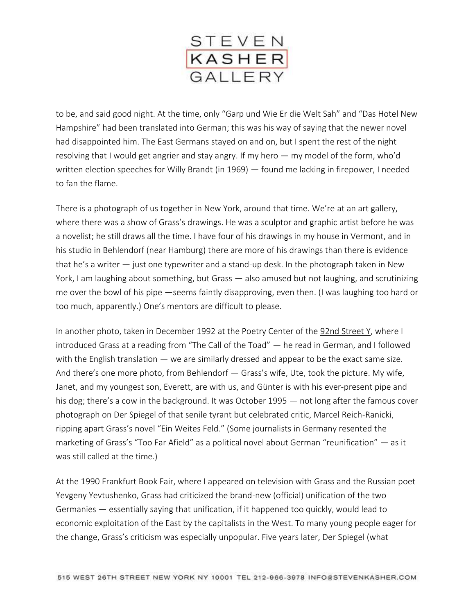

to be, and said good night. At the time, only "Garp und Wie Er die Welt Sah" and "Das Hotel New Hampshire" had been translated into German; this was his way of saying that the newer novel had disappointed him. The East Germans stayed on and on, but I spent the rest of the night resolving that I would get angrier and stay angry. If my hero — my model of the form, who'd written election speeches for Willy Brandt (in 1969) — found me lacking in firepower, I needed to fan the flame.

There is a photograph of us together in New York, around that time. We're at an art gallery, where there was a show of Grass's drawings. He was a sculptor and graphic artist before he was a novelist; he still draws all the time. I have four of his drawings in my house in Vermont, and in his studio in Behlendorf (near Hamburg) there are more of his drawings than there is evidence that he's a writer — just one typewriter and a stand-up desk. In the photograph taken in New York, I am laughing about something, but Grass — also amused but not laughing, and scrutinizing me over the bowl of his pipe —seems faintly disapproving, even then. (I was laughing too hard or too much, apparently.) One's mentors are difficult to please.

In another photo, taken in December 1992 at the Poetry Center of the [92nd Street Y,](http://topics.nytimes.com/top/reference/timestopics/organizations/n/ninetysecond_street_y/index.html?inline=nyt-org) where I introduced Grass at a reading from "The Call of the Toad" — he read in German, and I followed with the English translation — we are similarly dressed and appear to be the exact same size. And there's one more photo, from Behlendorf — Grass's wife, Ute, took the picture. My wife, Janet, and my youngest son, Everett, are with us, and Günter is with his ever-present pipe and his dog; there's a cow in the background. It was October 1995 — not long after the famous cover photograph on Der Spiegel of that senile tyrant but celebrated critic, Marcel Reich-Ranicki, ripping apart Grass's novel "Ein Weites Feld." (Some journalists in Germany resented the marketing of Grass's "Too Far Afield" as a political novel about German "reunification" — as it was still called at the time.)

At the 1990 Frankfurt Book Fair, where I appeared on television with Grass and the Russian poet Yevgeny Yevtushenko, Grass had criticized the brand-new (official) unification of the two Germanies — essentially saying that unification, if it happened too quickly, would lead to economic exploitation of the East by the capitalists in the West. To many young people eager for the change, Grass's criticism was especially unpopular. Five years later, Der Spiegel (what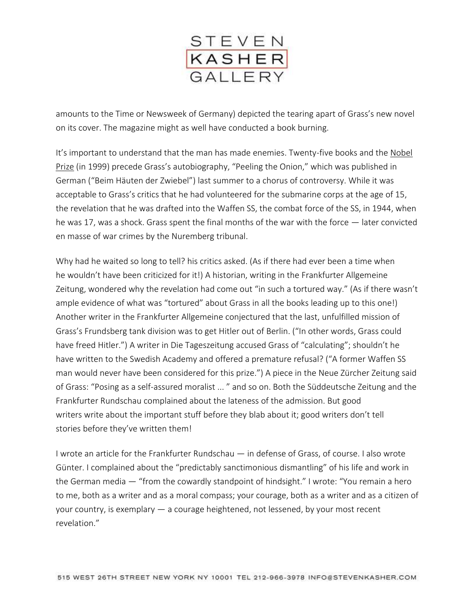

amounts to the Time or Newsweek of Germany) depicted the tearing apart of Grass's new novel on its cover. The magazine might as well have conducted a book burning.

It's important to understand that the man has made enemies. Twenty-five books and the Nobel [Prize](http://topics.nytimes.com/top/news/science/topics/nobel_prizes/index.html?inline=nyt-classifier) (in 1999) precede Grass's autobiography, "Peeling the Onion," which was published in German ("Beim Häuten der Zwiebel") last summer to a chorus of controversy. While it was acceptable to Grass's critics that he had volunteered for the submarine corps at the age of 15, the revelation that he was drafted into the Waffen SS, the combat force of the SS, in 1944, when he was 17, was a shock. Grass spent the final months of the war with the force — later convicted en masse of war crimes by the Nuremberg tribunal.

Why had he waited so long to tell? his critics asked. (As if there had ever been a time when he wouldn't have been criticized for it!) A historian, writing in the Frankfurter Allgemeine Zeitung, wondered why the revelation had come out "in such a tortured way." (As if there wasn't ample evidence of what was "tortured" about Grass in all the books leading up to this one!) Another writer in the Frankfurter Allgemeine conjectured that the last, unfulfilled mission of Grass's Frundsberg tank division was to get Hitler out of Berlin. ("In other words, Grass could have freed Hitler.") A writer in Die Tageszeitung accused Grass of "calculating"; shouldn't he have written to the Swedish Academy and offered a premature refusal? ("A former Waffen SS man would never have been considered for this prize.") A piece in the Neue Zürcher Zeitung said of Grass: "Posing as a self-assured moralist ... " and so on. Both the Süddeutsche Zeitung and the Frankfurter Rundschau complained about the lateness of the admission. But good writers write about the important stuff before they blab about it; good writers don't tell stories before they've written them!

I wrote an article for the Frankfurter Rundschau — in defense of Grass, of course. I also wrote Günter. I complained about the "predictably sanctimonious dismantling" of his life and work in the German media — "from the cowardly standpoint of hindsight." I wrote: "You remain a hero to me, both as a writer and as a moral compass; your courage, both as a writer and as a citizen of your country, is exemplary — a courage heightened, not lessened, by your most recent revelation."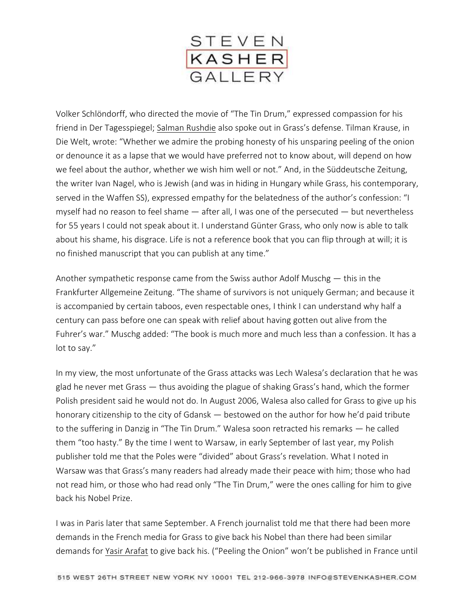

Volker Schlöndorff, who directed the movie of "The Tin Drum," expressed compassion for his friend in Der Tagesspiegel; [Salman Rushdie](http://www.nytimes.com/2001/09/09/books/author-rushdie.html?inline=nyt-per) also spoke out in Grass's defense. Tilman Krause, in Die Welt, wrote: "Whether we admire the probing honesty of his unsparing peeling of the onion or denounce it as a lapse that we would have preferred not to know about, will depend on how we feel about the author, whether we wish him well or not." And, in the Süddeutsche Zeitung, the writer Ivan Nagel, who is Jewish (and was in hiding in Hungary while Grass, his contemporary, served in the Waffen SS), expressed empathy for the belatedness of the author's confession: "I myself had no reason to feel shame — after all, I was one of the persecuted — but nevertheless for 55 years I could not speak about it. I understand Günter Grass, who only now is able to talk about his shame, his disgrace. Life is not a reference book that you can flip through at will; it is no finished manuscript that you can publish at any time."

Another sympathetic response came from the Swiss author Adolf Muschg — this in the Frankfurter Allgemeine Zeitung. "The shame of survivors is not uniquely German; and because it is accompanied by certain taboos, even respectable ones, I think I can understand why half a century can pass before one can speak with relief about having gotten out alive from the Fuhrer's war." Muschg added: "The book is much more and much less than a confession. It has a lot to say."

In my view, the most unfortunate of the Grass attacks was Lech Walesa's declaration that he was glad he never met Grass — thus avoiding the plague of shaking Grass's hand, which the former Polish president said he would not do. In August 2006, Walesa also called for Grass to give up his honorary citizenship to the city of Gdansk — bestowed on the author for how he'd paid tribute to the suffering in Danzig in "The Tin Drum." Walesa soon retracted his remarks — he called them "too hasty." By the time I went to Warsaw, in early September of last year, my Polish publisher told me that the Poles were "divided" about Grass's revelation. What I noted in Warsaw was that Grass's many readers had already made their peace with him; those who had not read him, or those who had read only "The Tin Drum," were the ones calling for him to give back his Nobel Prize.

I was in Paris later that same September. A French journalist told me that there had been more demands in the French media for Grass to give back his Nobel than there had been similar demands for [Yasir Arafat](http://topics.nytimes.com/top/reference/timestopics/people/a/yasir_arafat/index.html?inline=nyt-per) to give back his. ("Peeling the Onion" won't be published in France until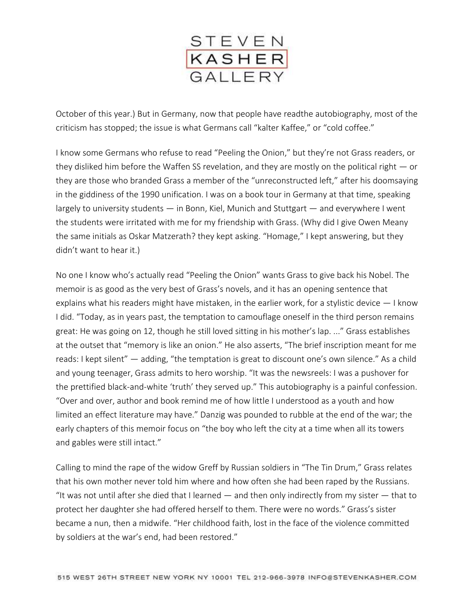

October of this year.) But in Germany, now that people have readthe autobiography, most of the criticism has stopped; the issue is what Germans call "kalter Kaffee," or "cold coffee."

I know some Germans who refuse to read "Peeling the Onion," but they're not Grass readers, or they disliked him before the Waffen SS revelation, and they are mostly on the political right — or they are those who branded Grass a member of the "unreconstructed left," after his doomsaying in the giddiness of the 1990 unification. I was on a book tour in Germany at that time, speaking largely to university students — in Bonn, Kiel, Munich and Stuttgart — and everywhere I went the students were irritated with me for my friendship with Grass. (Why did I give Owen Meany the same initials as Oskar Matzerath? they kept asking. "Homage," I kept answering, but they didn't want to hear it.)

No one I know who's actually read "Peeling the Onion" wants Grass to give back his Nobel. The memoir is as good as the very best of Grass's novels, and it has an opening sentence that explains what his readers might have mistaken, in the earlier work, for a stylistic device — I know I did. "Today, as in years past, the temptation to camouflage oneself in the third person remains great: He was going on 12, though he still loved sitting in his mother's lap. ..." Grass establishes at the outset that "memory is like an onion." He also asserts, "The brief inscription meant for me reads: I kept silent" — adding, "the temptation is great to discount one's own silence." As a child and young teenager, Grass admits to hero worship. "It was the newsreels: I was a pushover for the prettified black-and-white 'truth' they served up." This autobiography is a painful confession. "Over and over, author and book remind me of how little I understood as a youth and how limited an effect literature may have." Danzig was pounded to rubble at the end of the war; the early chapters of this memoir focus on "the boy who left the city at a time when all its towers and gables were still intact."

Calling to mind the rape of the widow Greff by Russian soldiers in "The Tin Drum," Grass relates that his own mother never told him where and how often she had been raped by the Russians. "It was not until after she died that I learned  $-$  and then only indirectly from my sister  $-$  that to protect her daughter she had offered herself to them. There were no words." Grass's sister became a nun, then a midwife. "Her childhood faith, lost in the face of the violence committed by soldiers at the war's end, had been restored."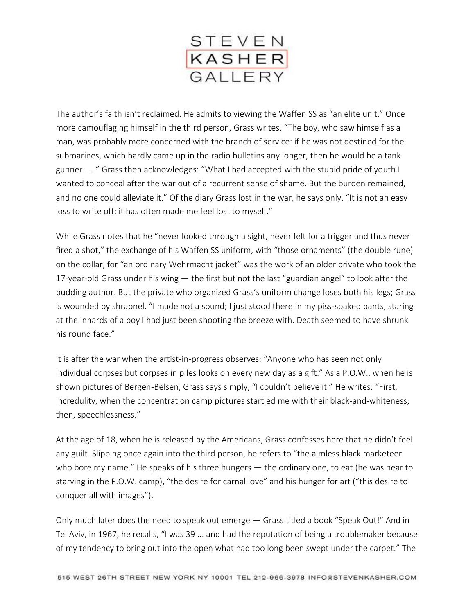

The author's faith isn't reclaimed. He admits to viewing the Waffen SS as "an elite unit." Once more camouflaging himself in the third person, Grass writes, "The boy, who saw himself as a man, was probably more concerned with the branch of service: if he was not destined for the submarines, which hardly came up in the radio bulletins any longer, then he would be a tank gunner. ... " Grass then acknowledges: "What I had accepted with the stupid pride of youth I wanted to conceal after the war out of a recurrent sense of shame. But the burden remained, and no one could alleviate it." Of the diary Grass lost in the war, he says only, "It is not an easy loss to write off: it has often made me feel lost to myself."

While Grass notes that he "never looked through a sight, never felt for a trigger and thus never fired a shot," the exchange of his Waffen SS uniform, with "those ornaments" (the double rune) on the collar, for "an ordinary Wehrmacht jacket" was the work of an older private who took the 17-year-old Grass under his wing — the first but not the last "guardian angel" to look after the budding author. But the private who organized Grass's uniform change loses both his legs; Grass is wounded by shrapnel. "I made not a sound; I just stood there in my piss-soaked pants, staring at the innards of a boy I had just been shooting the breeze with. Death seemed to have shrunk his round face."

It is after the war when the artist-in-progress observes: "Anyone who has seen not only individual corpses but corpses in piles looks on every new day as a gift." As a P.O.W., when he is shown pictures of Bergen-Belsen, Grass says simply, "I couldn't believe it." He writes: "First, incredulity, when the concentration camp pictures startled me with their black-and-whiteness; then, speechlessness."

At the age of 18, when he is released by the Americans, Grass confesses here that he didn't feel any guilt. Slipping once again into the third person, he refers to "the aimless black marketeer who bore my name." He speaks of his three hungers — the ordinary one, to eat (he was near to starving in the P.O.W. camp), "the desire for carnal love" and his hunger for art ("this desire to conquer all with images").

Only much later does the need to speak out emerge — Grass titled a book "Speak Out!" And in Tel Aviv, in 1967, he recalls, "I was 39 ... and had the reputation of being a troublemaker because of my tendency to bring out into the open what had too long been swept under the carpet." The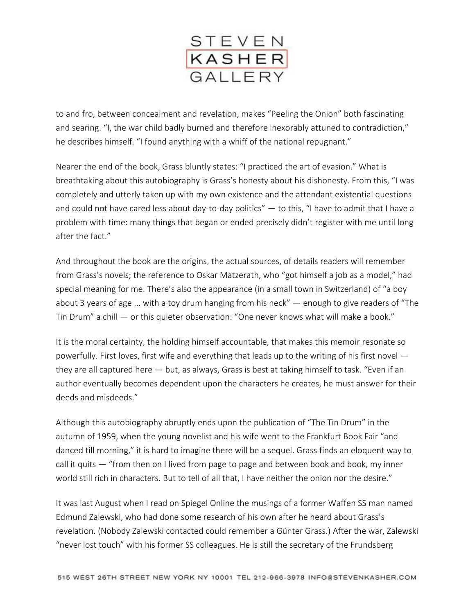

to and fro, between concealment and revelation, makes "Peeling the Onion" both fascinating and searing. "I, the war child badly burned and therefore inexorably attuned to contradiction," he describes himself. "I found anything with a whiff of the national repugnant."

Nearer the end of the book, Grass bluntly states: "I practiced the art of evasion." What is breathtaking about this autobiography is Grass's honesty about his dishonesty. From this, "I was completely and utterly taken up with my own existence and the attendant existential questions and could not have cared less about day-to-day politics" — to this, "I have to admit that I have a problem with time: many things that began or ended precisely didn't register with me until long after the fact."

And throughout the book are the origins, the actual sources, of details readers will remember from Grass's novels; the reference to Oskar Matzerath, who "got himself a job as a model," had special meaning for me. There's also the appearance (in a small town in Switzerland) of "a boy about 3 years of age ... with a toy drum hanging from his neck" — enough to give readers of "The Tin Drum" a chill — or this quieter observation: "One never knows what will make a book."

It is the moral certainty, the holding himself accountable, that makes this memoir resonate so powerfully. First loves, first wife and everything that leads up to the writing of his first novel they are all captured here — but, as always, Grass is best at taking himself to task. "Even if an author eventually becomes dependent upon the characters he creates, he must answer for their deeds and misdeeds."

Although this autobiography abruptly ends upon the publication of "The Tin Drum" in the autumn of 1959, when the young novelist and his wife went to the Frankfurt Book Fair "and danced till morning," it is hard to imagine there will be a sequel. Grass finds an eloquent way to call it quits — "from then on I lived from page to page and between book and book, my inner world still rich in characters. But to tell of all that, I have neither the onion nor the desire."

It was last August when I read on Spiegel Online the musings of a former Waffen SS man named Edmund Zalewski, who had done some research of his own after he heard about Grass's revelation. (Nobody Zalewski contacted could remember a Günter Grass.) After the war, Zalewski "never lost touch" with his former SS colleagues. He is still the secretary of the Frundsberg